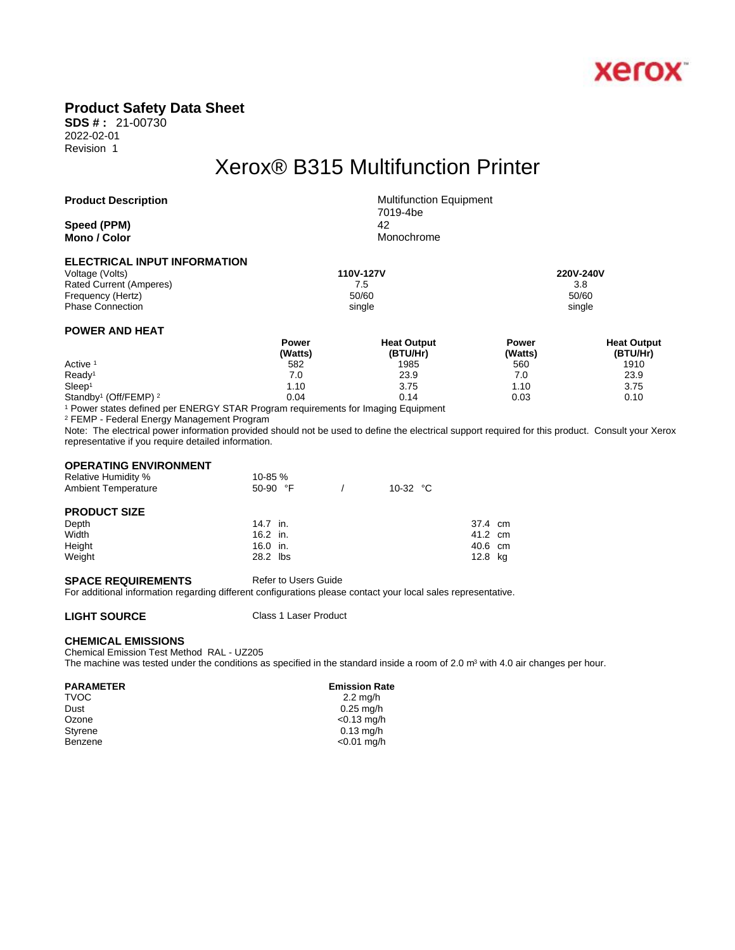

## **Product Safety Data Sheet**

**SDS # :** 21-00730 2022-02-01 Revision 1

# Xerox® B315 Multifunction Printer

**Speed (PPM)** 42 **Mono** / **Color** Monochrome

**Product Description** Multifunction Equipment 7019-4be

| ELECTRICAL INPUT INFORMATION |  |
|------------------------------|--|
|------------------------------|--|

Voltage (Volts) **110V-127V 220V-240V**  Rated Current (Amperes) and the set of the set of the set of the set of the set of the set of the set of the set of the set of the set of the set of the set of the set of the set of the set of the set of the set of the set Frequency (Hertz) Phase Connection single single single single single single single single single single

### **POWER AND HEAT**

|                                              | Power   | <b>Heat Output</b> | Power   | <b>Heat Output</b> |  |
|----------------------------------------------|---------|--------------------|---------|--------------------|--|
|                                              | (Watts) | (BTU/Hr)           | (Watts) | (BTU/Hr)           |  |
| Active <sup>1</sup>                          | 582     | 1985               | 560     | 1910               |  |
| Ready <sup>1</sup>                           | 7.0     | 23.9               | 7.0     | 23.9               |  |
| Sleep <sup>1</sup>                           | 1.10    | 3.75               | 10،،    | 3.75               |  |
| Standby <sup>1</sup> (Off/FEMP) <sup>2</sup> | 0.04    | 0.14               | 0.03    | 0.10               |  |

1 Power states defined per ENERGY STAR Program requirements for Imaging Equipment

2 FEMP - Federal Energy Management Program

Note: The electrical power information provided should not be used to define the electrical support required for this product. Consult your Xerox representative if you require detailed information.

### **OPERATING ENVIRONMENT**

| <b>Relative Humidity %</b> | 10-85 %    |                   |         |  |
|----------------------------|------------|-------------------|---------|--|
| <b>Ambient Temperature</b> | $50-90$ °F | 10-32 $\degree$ C |         |  |
| <b>PRODUCT SIZE</b>        |            |                   |         |  |
| Depth                      | 14.7 in.   |                   | 37.4 cm |  |
| Width                      | 16.2 in.   |                   | 41.2 cm |  |
| Height                     | 16.0 in.   |                   | 40.6 cm |  |
| Weight                     | 28.2 lbs   |                   | 12.8 kg |  |

### **SPACE REQUIREMENTS** Refer to Users Guide

For additional information regarding different configurations please contact your local sales representative.

**LIGHT SOURCE** Class 1 Laser Product

### **CHEMICAL EMISSIONS**

Chemical Emission Test Method RAL - UZ205

The machine was tested under the conditions as specified in the standard inside a room of 2.0  $m<sup>3</sup>$  with 4.0 air changes per hour.

 $TVOC$  and  $2.2 \text{ mg/h}$ 

# **PARAMETER Emission Rate**<br>TVOC 2.2 mg/h

Dust 0.25 mg/h Ozone <0.13 mg/h Styrene 0.13 mg/h<br>Benzene 2001 - 2001 - 2003 - 2004 - 2005 - 2009 - 2009 - 2009 - 2009 - 2009 - 2009 - 2009 - 2009 - 2009 - 200  $<$ 0.01 mg/h